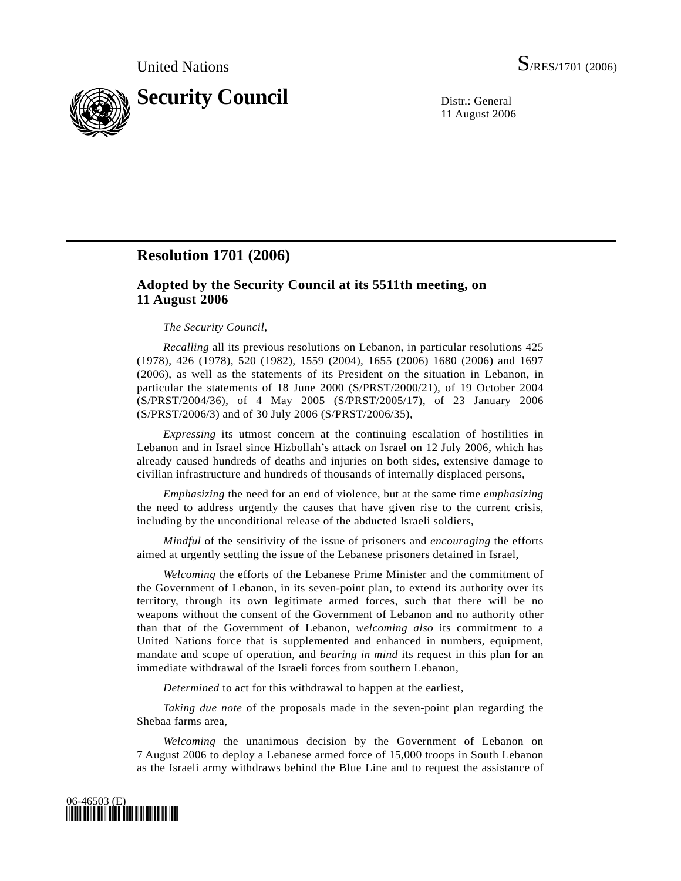

11 August 2006

## **Resolution 1701 (2006)**

## **Adopted by the Security Council at its 5511th meeting, on 11 August 2006**

## *The Security Council*,

*Recalling* all its previous resolutions on Lebanon, in particular resolutions 425 (1978), 426 (1978), 520 (1982), 1559 (2004), 1655 (2006) 1680 (2006) and 1697 (2006), as well as the statements of its President on the situation in Lebanon, in particular the statements of 18 June 2000 (S/PRST/2000/21), of 19 October 2004 (S/PRST/2004/36), of 4 May 2005 (S/PRST/2005/17), of 23 January 2006 (S/PRST/2006/3) and of 30 July 2006 (S/PRST/2006/35),

*Expressing* its utmost concern at the continuing escalation of hostilities in Lebanon and in Israel since Hizbollah's attack on Israel on 12 July 2006, which has already caused hundreds of deaths and injuries on both sides, extensive damage to civilian infrastructure and hundreds of thousands of internally displaced persons,

*Emphasizing* the need for an end of violence, but at the same time *emphasizing* the need to address urgently the causes that have given rise to the current crisis, including by the unconditional release of the abducted Israeli soldiers,

*Mindful* of the sensitivity of the issue of prisoners and *encouraging* the efforts aimed at urgently settling the issue of the Lebanese prisoners detained in Israel,

*Welcoming* the efforts of the Lebanese Prime Minister and the commitment of the Government of Lebanon, in its seven-point plan, to extend its authority over its territory, through its own legitimate armed forces, such that there will be no weapons without the consent of the Government of Lebanon and no authority other than that of the Government of Lebanon, *welcoming also* its commitment to a United Nations force that is supplemented and enhanced in numbers, equipment, mandate and scope of operation, and *bearing in mind* its request in this plan for an immediate withdrawal of the Israeli forces from southern Lebanon,

*Determined* to act for this withdrawal to happen at the earliest,

*Taking due note* of the proposals made in the seven-point plan regarding the Shebaa farms area,

*Welcoming* the unanimous decision by the Government of Lebanon on 7 August 2006 to deploy a Lebanese armed force of 15,000 troops in South Lebanon as the Israeli army withdraws behind the Blue Line and to request the assistance of

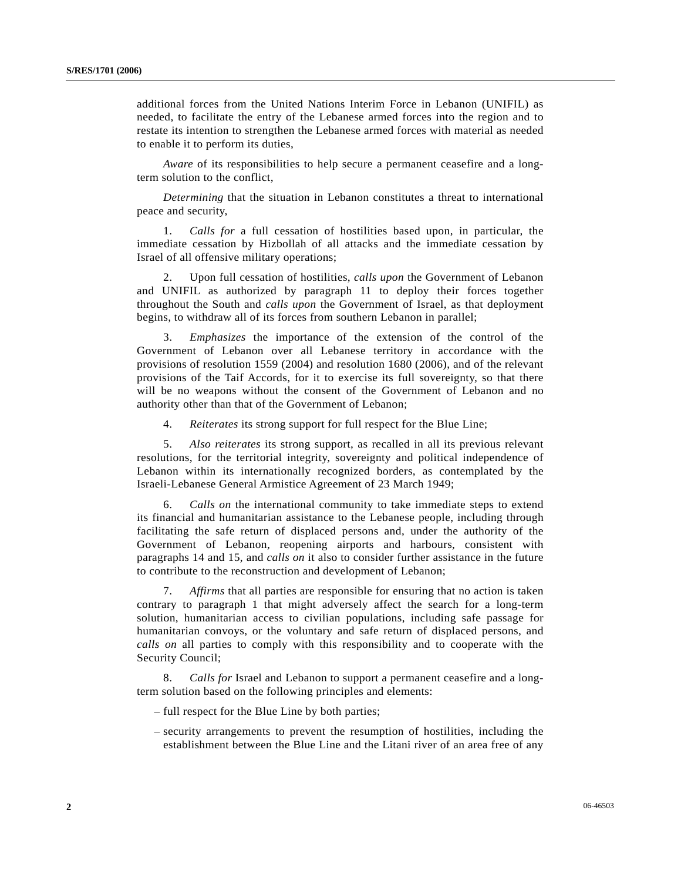additional forces from the United Nations Interim Force in Lebanon (UNIFIL) as needed, to facilitate the entry of the Lebanese armed forces into the region and to restate its intention to strengthen the Lebanese armed forces with material as needed to enable it to perform its duties,

*Aware* of its responsibilities to help secure a permanent ceasefire and a longterm solution to the conflict,

*Determining* that the situation in Lebanon constitutes a threat to international peace and security,

 1. *Calls for* a full cessation of hostilities based upon, in particular, the immediate cessation by Hizbollah of all attacks and the immediate cessation by Israel of all offensive military operations;

 2. Upon full cessation of hostilities, *calls upon* the Government of Lebanon and UNIFIL as authorized by paragraph 11 to deploy their forces together throughout the South and *calls upon* the Government of Israel, as that deployment begins, to withdraw all of its forces from southern Lebanon in parallel;

 3. *Emphasizes* the importance of the extension of the control of the Government of Lebanon over all Lebanese territory in accordance with the provisions of resolution 1559 (2004) and resolution 1680 (2006), and of the relevant provisions of the Taif Accords, for it to exercise its full sovereignty, so that there will be no weapons without the consent of the Government of Lebanon and no authority other than that of the Government of Lebanon;

4. *Reiterates* its strong support for full respect for the Blue Line;

 5. *Also reiterates* its strong support, as recalled in all its previous relevant resolutions, for the territorial integrity, sovereignty and political independence of Lebanon within its internationally recognized borders, as contemplated by the Israeli-Lebanese General Armistice Agreement of 23 March 1949;

 6. *Calls on* the international community to take immediate steps to extend its financial and humanitarian assistance to the Lebanese people, including through facilitating the safe return of displaced persons and, under the authority of the Government of Lebanon, reopening airports and harbours, consistent with paragraphs 14 and 15, and *calls on* it also to consider further assistance in the future to contribute to the reconstruction and development of Lebanon;

 7. *Affirms* that all parties are responsible for ensuring that no action is taken contrary to paragraph 1 that might adversely affect the search for a long-term solution, humanitarian access to civilian populations, including safe passage for humanitarian convoys, or the voluntary and safe return of displaced persons, and *calls on* all parties to comply with this responsibility and to cooperate with the Security Council;

 8. *Calls for* Israel and Lebanon to support a permanent ceasefire and a longterm solution based on the following principles and elements:

– full respect for the Blue Line by both parties;

 – security arrangements to prevent the resumption of hostilities, including the establishment between the Blue Line and the Litani river of an area free of any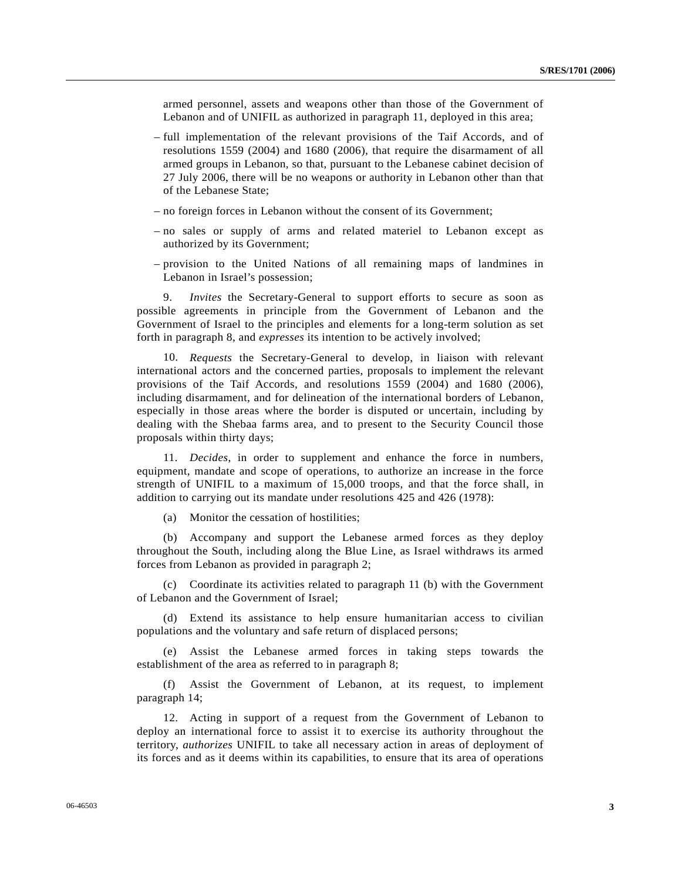armed personnel, assets and weapons other than those of the Government of Lebanon and of UNIFIL as authorized in paragraph 11, deployed in this area;

- full implementation of the relevant provisions of the Taif Accords, and of resolutions 1559 (2004) and 1680 (2006), that require the disarmament of all armed groups in Lebanon, so that, pursuant to the Lebanese cabinet decision of 27 July 2006, there will be no weapons or authority in Lebanon other than that of the Lebanese State;
- no foreign forces in Lebanon without the consent of its Government;
- no sales or supply of arms and related materiel to Lebanon except as authorized by its Government;
- provision to the United Nations of all remaining maps of landmines in Lebanon in Israel's possession;

 9. *Invites* the Secretary-General to support efforts to secure as soon as possible agreements in principle from the Government of Lebanon and the Government of Israel to the principles and elements for a long-term solution as set forth in paragraph 8, and *expresses* its intention to be actively involved;

 10. *Requests* the Secretary-General to develop, in liaison with relevant international actors and the concerned parties, proposals to implement the relevant provisions of the Taif Accords, and resolutions 1559 (2004) and 1680 (2006), including disarmament, and for delineation of the international borders of Lebanon, especially in those areas where the border is disputed or uncertain, including by dealing with the Shebaa farms area, and to present to the Security Council those proposals within thirty days;

 11. *Decides*, in order to supplement and enhance the force in numbers, equipment, mandate and scope of operations, to authorize an increase in the force strength of UNIFIL to a maximum of 15,000 troops, and that the force shall, in addition to carrying out its mandate under resolutions 425 and 426 (1978):

(a) Monitor the cessation of hostilities;

 (b) Accompany and support the Lebanese armed forces as they deploy throughout the South, including along the Blue Line, as Israel withdraws its armed forces from Lebanon as provided in paragraph 2;

 (c) Coordinate its activities related to paragraph 11 (b) with the Government of Lebanon and the Government of Israel;

 (d) Extend its assistance to help ensure humanitarian access to civilian populations and the voluntary and safe return of displaced persons;

 (e) Assist the Lebanese armed forces in taking steps towards the establishment of the area as referred to in paragraph 8;

 (f) Assist the Government of Lebanon, at its request, to implement paragraph 14;

 12. Acting in support of a request from the Government of Lebanon to deploy an international force to assist it to exercise its authority throughout the territory, *authorizes* UNIFIL to take all necessary action in areas of deployment of its forces and as it deems within its capabilities, to ensure that its area of operations